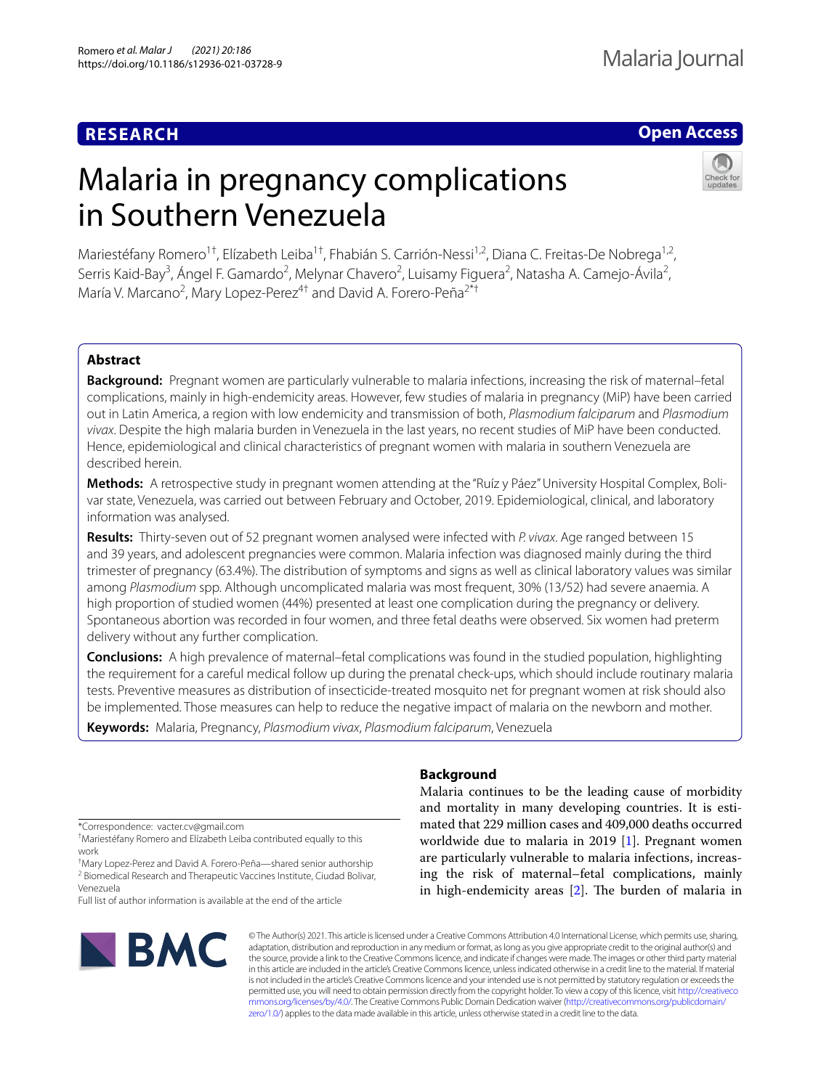# **RESEARCH**

# **Open Access**

# Malaria in pregnancy complications in Southern Venezuela



Mariestéfany Romero<sup>1†</sup>, Elízabeth Leiba<sup>1†</sup>, Fhabián S. Carrión-Nessi<sup>1,2</sup>, Diana C. Freitas-De Nobrega<sup>1,2</sup>, Serris Kaid-Bay<sup>3</sup>, Ángel F. Gamardo<sup>2</sup>, Melynar Chavero<sup>2</sup>, Luisamy Figuera<sup>2</sup>, Natasha A. Camejo-Ávila<sup>2</sup>, María V. Marcano<sup>2</sup>, Mary Lopez-Perez<sup>4†</sup> and David A. Forero-Peña<sup>2\*†</sup>

# **Abstract**

**Background:** Pregnant women are particularly vulnerable to malaria infections, increasing the risk of maternal–fetal complications, mainly in high-endemicity areas. However, few studies of malaria in pregnancy (MiP) have been carried out in Latin America, a region with low endemicity and transmission of both, *Plasmodium falciparum* and *Plasmodium vivax*. Despite the high malaria burden in Venezuela in the last years, no recent studies of MiP have been conducted. Hence, epidemiological and clinical characteristics of pregnant women with malaria in southern Venezuela are described herein.

Methods: A retrospective study in pregnant women attending at the "Ruíz y Páez" University Hospital Complex, Bolivar state, Venezuela, was carried out between February and October, 2019. Epidemiological, clinical, and laboratory information was analysed.

**Results:** Thirty-seven out of 52 pregnant women analysed were infected with *P. vivax*. Age ranged between 15 and 39 years, and adolescent pregnancies were common. Malaria infection was diagnosed mainly during the third trimester of pregnancy (63.4%). The distribution of symptoms and signs as well as clinical laboratory values was similar among *Plasmodium* spp. Although uncomplicated malaria was most frequent, 30% (13/52) had severe anaemia. A high proportion of studied women (44%) presented at least one complication during the pregnancy or delivery. Spontaneous abortion was recorded in four women, and three fetal deaths were observed. Six women had preterm delivery without any further complication.

**Conclusions:** A high prevalence of maternal–fetal complications was found in the studied population, highlighting the requirement for a careful medical follow up during the prenatal check-ups, which should include routinary malaria tests. Preventive measures as distribution of insecticide-treated mosquito net for pregnant women at risk should also be implemented. Those measures can help to reduce the negative impact of malaria on the newborn and mother.

**Keywords:** Malaria, Pregnancy, *Plasmodium vivax*, *Plasmodium falciparum*, Venezuela

\*Correspondence: vacter.cv@gmail.com

† Mariestéfany Romero and Elízabeth Leiba contributed equally to this work

† Mary Lopez-Perez and David A. Forero-Peña—shared senior authorship <sup>2</sup> Biomedical Research and Therapeutic Vaccines Institute, Ciudad Bolivar, Venezuela

Full list of author information is available at the end of the article



# **Background**

Malaria continues to be the leading cause of morbidity and mortality in many developing countries. It is estimated that 229 million cases and 409,000 deaths occurred worldwide due to malaria in 2019 [[1\]](#page-6-0). Pregnant women are particularly vulnerable to malaria infections, increasing the risk of maternal–fetal complications, mainly in high-endemicity areas  $[2]$  $[2]$ . The burden of malaria in

© The Author(s) 2021. This article is licensed under a Creative Commons Attribution 4.0 International License, which permits use, sharing, adaptation, distribution and reproduction in any medium or format, as long as you give appropriate credit to the original author(s) and the source, provide a link to the Creative Commons licence, and indicate if changes were made. The images or other third party material in this article are included in the article's Creative Commons licence, unless indicated otherwise in a credit line to the material. If material is not included in the article's Creative Commons licence and your intended use is not permitted by statutory regulation or exceeds the permitted use, you will need to obtain permission directly from the copyright holder. To view a copy of this licence, visit [http://creativeco](http://creativecommons.org/licenses/by/4.0/) [mmons.org/licenses/by/4.0/.](http://creativecommons.org/licenses/by/4.0/) The Creative Commons Public Domain Dedication waiver ([http://creativecommons.org/publicdomain/](http://creativecommons.org/publicdomain/zero/1.0/) [zero/1.0/\)](http://creativecommons.org/publicdomain/zero/1.0/) applies to the data made available in this article, unless otherwise stated in a credit line to the data.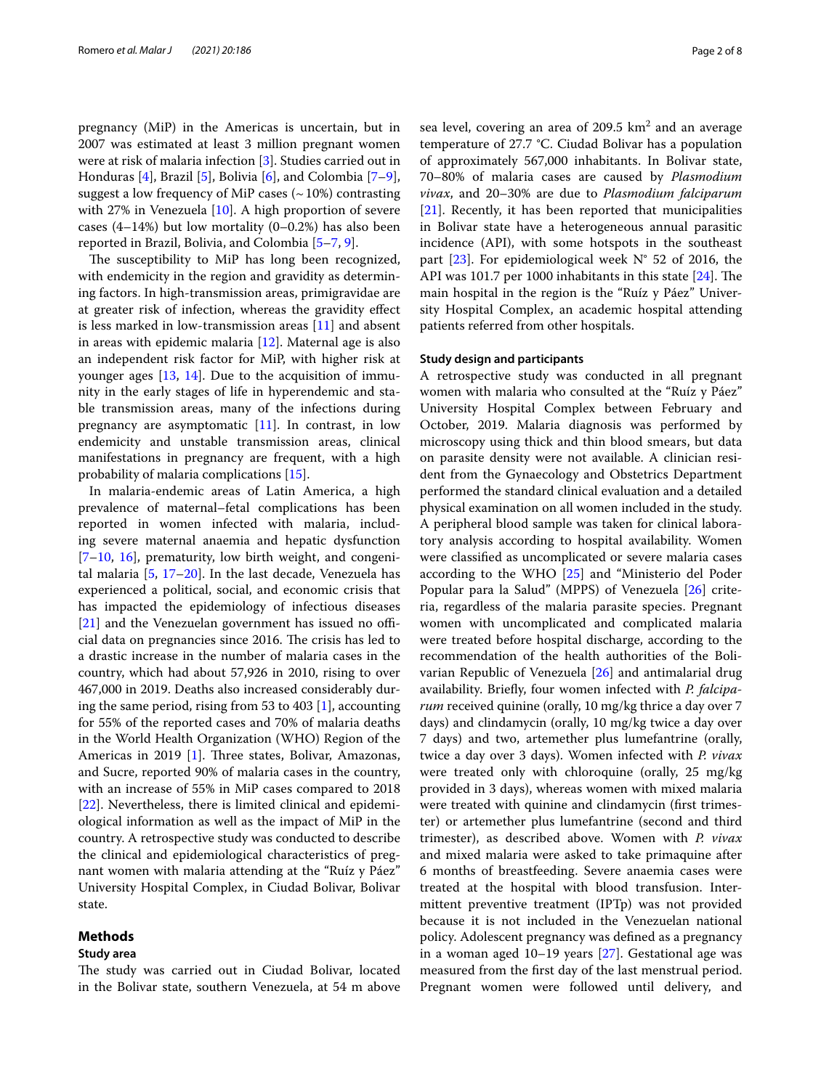pregnancy (MiP) in the Americas is uncertain, but in 2007 was estimated at least 3 million pregnant women were at risk of malaria infection [[3\]](#page-6-2). Studies carried out in Honduras [\[4](#page-6-3)], Brazil [[5\]](#page-6-4), Bolivia [[6\]](#page-6-5), and Colombia [\[7](#page-6-6)[–9](#page-6-7)], suggest a low frequency of MiP cases  $($   $\sim$  10%) contrasting with 27% in Venezuela [\[10](#page-6-8)]. A high proportion of severe cases (4–14%) but low mortality (0–0.2%) has also been reported in Brazil, Bolivia, and Colombia [[5](#page-6-4)[–7](#page-6-6), [9\]](#page-6-7).

The susceptibility to MiP has long been recognized, with endemicity in the region and gravidity as determining factors. In high-transmission areas, primigravidae are at greater risk of infection, whereas the gravidity efect is less marked in low-transmission areas [[11\]](#page-6-9) and absent in areas with epidemic malaria [\[12\]](#page-6-10). Maternal age is also an independent risk factor for MiP, with higher risk at younger ages [\[13,](#page-6-11) [14\]](#page-6-12). Due to the acquisition of immunity in the early stages of life in hyperendemic and stable transmission areas, many of the infections during pregnancy are asymptomatic [[11\]](#page-6-9). In contrast, in low endemicity and unstable transmission areas, clinical manifestations in pregnancy are frequent, with a high probability of malaria complications [[15](#page-6-13)].

In malaria-endemic areas of Latin America, a high prevalence of maternal–fetal complications has been reported in women infected with malaria, including severe maternal anaemia and hepatic dysfunction  $[7–10, 16]$  $[7–10, 16]$  $[7–10, 16]$  $[7–10, 16]$  $[7–10, 16]$  $[7–10, 16]$ , prematurity, low birth weight, and congenital malaria [\[5](#page-6-4), [17–](#page-6-15)[20](#page-6-16)]. In the last decade, Venezuela has experienced a political, social, and economic crisis that has impacted the epidemiology of infectious diseases  $[21]$  $[21]$  and the Venezuelan government has issued no official data on pregnancies since 2016. The crisis has led to a drastic increase in the number of malaria cases in the country, which had about 57,926 in 2010, rising to over 467,000 in 2019. Deaths also increased considerably during the same period, rising from 53 to 403 [[1\]](#page-6-0), accounting for 55% of the reported cases and 70% of malaria deaths in the World Health Organization (WHO) Region of the Americas in 2019  $[1]$  $[1]$ . Three states, Bolivar, Amazonas, and Sucre, reported 90% of malaria cases in the country, with an increase of 55% in MiP cases compared to 2018 [[22\]](#page-6-18). Nevertheless, there is limited clinical and epidemiological information as well as the impact of MiP in the country. A retrospective study was conducted to describe the clinical and epidemiological characteristics of pregnant women with malaria attending at the "Ruíz y Páez" University Hospital Complex, in Ciudad Bolivar, Bolivar state.

# **Methods**

## **Study area**

The study was carried out in Ciudad Bolivar, located in the Bolivar state, southern Venezuela, at 54 m above

sea level, covering an area of  $209.5 \text{ km}^2$  and an average temperature of 27.7 °C. Ciudad Bolivar has a population of approximately 567,000 inhabitants. In Bolivar state, 70–80% of malaria cases are caused by *Plasmodium vivax*, and 20–30% are due to *Plasmodium falciparum* [[21\]](#page-6-17). Recently, it has been reported that municipalities in Bolivar state have a heterogeneous annual parasitic incidence (API), with some hotspots in the southeast part  $[23]$  $[23]$ . For epidemiological week N° 52 of 2016, the API was 101.7 per 1000 inhabitants in this state  $[24]$  $[24]$ . The main hospital in the region is the "Ruíz y Páez" University Hospital Complex, an academic hospital attending patients referred from other hospitals.

# **Study design and participants**

A retrospective study was conducted in all pregnant women with malaria who consulted at the "Ruíz y Páez" University Hospital Complex between February and October, 2019. Malaria diagnosis was performed by microscopy using thick and thin blood smears, but data on parasite density were not available. A clinician resident from the Gynaecology and Obstetrics Department performed the standard clinical evaluation and a detailed physical examination on all women included in the study. A peripheral blood sample was taken for clinical laboratory analysis according to hospital availability. Women were classifed as uncomplicated or severe malaria cases according to the WHO [\[25\]](#page-6-21) and "Ministerio del Poder Popular para la Salud" (MPPS) of Venezuela [[26](#page-6-22)] criteria, regardless of the malaria parasite species. Pregnant women with uncomplicated and complicated malaria were treated before hospital discharge, according to the recommendation of the health authorities of the Bolivarian Republic of Venezuela [\[26](#page-6-22)] and antimalarial drug availability. Briefy, four women infected with *P. falciparum* received quinine (orally, 10 mg/kg thrice a day over 7 days) and clindamycin (orally, 10 mg/kg twice a day over 7 days) and two, artemether plus lumefantrine (orally, twice a day over 3 days). Women infected with *P. vivax* were treated only with chloroquine (orally, 25 mg/kg provided in 3 days), whereas women with mixed malaria were treated with quinine and clindamycin (frst trimester) or artemether plus lumefantrine (second and third trimester), as described above. Women with *P. vivax* and mixed malaria were asked to take primaquine after 6 months of breastfeeding. Severe anaemia cases were treated at the hospital with blood transfusion. Intermittent preventive treatment (IPTp) was not provided because it is not included in the Venezuelan national policy. Adolescent pregnancy was defned as a pregnancy in a woman aged 10–19 years [\[27\]](#page-6-23). Gestational age was measured from the frst day of the last menstrual period. Pregnant women were followed until delivery, and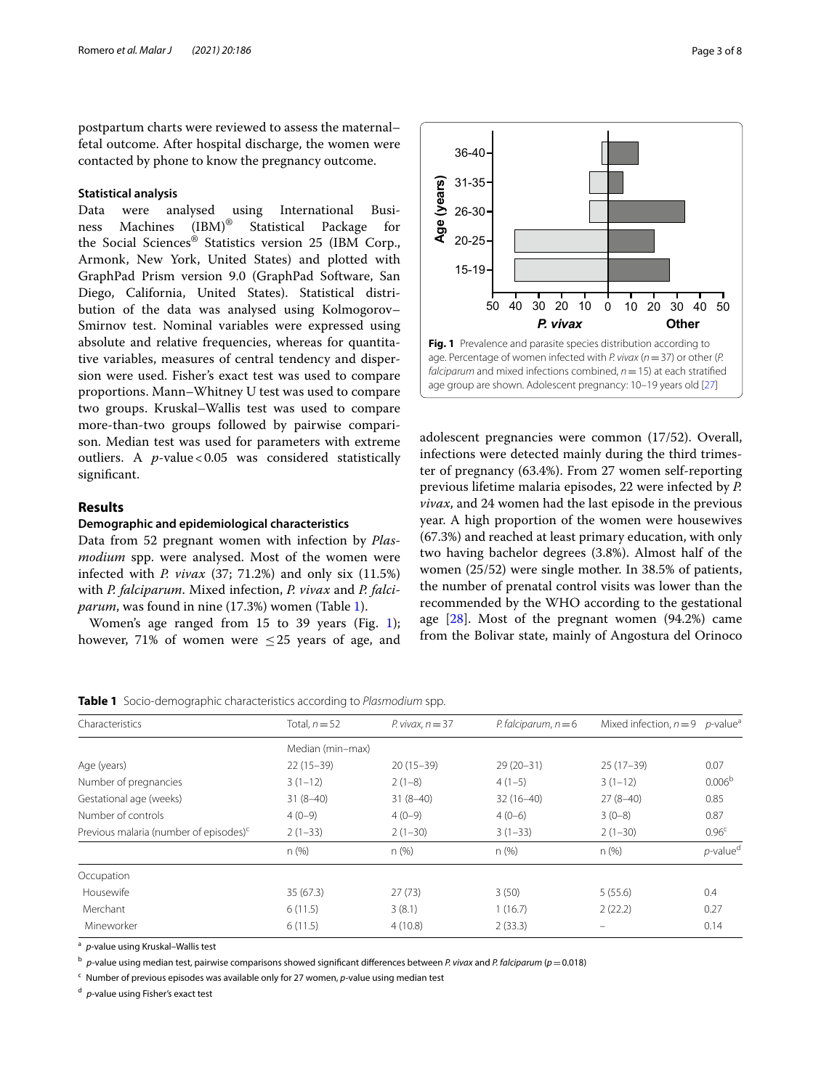postpartum charts were reviewed to assess the maternal– fetal outcome. After hospital discharge, the women were contacted by phone to know the pregnancy outcome.

# **Statistical analysis**

Data were analysed using International Business Machines  $(IBM)^{\circledast}$  Statistical Package for ness Machines (IBM)® Statistical Package for the Social Sciences® Statistics version 25 (IBM Corp., Armonk, New York, United States) and plotted with GraphPad Prism version 9.0 (GraphPad Software, San Diego, California, United States). Statistical distribution of the data was analysed using Kolmogorov– Smirnov test. Nominal variables were expressed using absolute and relative frequencies, whereas for quantitative variables, measures of central tendency and dispersion were used. Fisher's exact test was used to compare proportions. Mann–Whitney U test was used to compare two groups. Kruskal–Wallis test was used to compare more-than-two groups followed by pairwise comparison. Median test was used for parameters with extreme outliers. A *p*-value < 0.05 was considered statistically signifcant.

## **Results**

# **Demographic and epidemiological characteristics**

Data from 52 pregnant women with infection by *Plasmodium* spp. were analysed. Most of the women were infected with *P. vivax* (37; 71.2%) and only six (11.5%) with *P. falciparum*. Mixed infection, *P. vivax* and *P. falciparum*, was found in nine (17.3%) women (Table [1\)](#page-2-0).

Women's age ranged from 15 to 39 years (Fig. [1](#page-2-1)); however, 71% of women were  $\leq$  25 years of age, and



<span id="page-2-1"></span>age. Percentage of women infected with *P. vivax* (*n*=37) or other (*P. falciparum* and mixed infections combined, *n*=15) at each stratifed age group are shown. Adolescent pregnancy: 10–19 years old [\[27\]](#page-6-23)

adolescent pregnancies were common (17/52). Overall, infections were detected mainly during the third trimester of pregnancy (63.4%). From 27 women self-reporting previous lifetime malaria episodes, 22 were infected by *P. vivax*, and 24 women had the last episode in the previous year. A high proportion of the women were housewives (67.3%) and reached at least primary education, with only two having bachelor degrees (3.8%). Almost half of the women (25/52) were single mother. In 38.5% of patients, the number of prenatal control visits was lower than the recommended by the WHO according to the gestational age  $[28]$  $[28]$  $[28]$ . Most of the pregnant women  $(94.2%)$  came from the Bolivar state, mainly of Angostura del Orinoco

<span id="page-2-0"></span>**Table 1** Socio-demographic characteristics according to *Plasmodium* spp.

| Characteristics                                    | Total, $n = 52$  | P. vivax, $n = 37$ | P. falciparum, $n = 6$ | Mixed infection, $n = 9$ | <i>p</i> -value <sup>a</sup> |  |
|----------------------------------------------------|------------------|--------------------|------------------------|--------------------------|------------------------------|--|
|                                                    | Median (min-max) |                    |                        |                          |                              |  |
| Age (years)                                        | $22(15-39)$      | $20(15-39)$        | $29(20-31)$            | $25(17-39)$              | 0.07                         |  |
| Number of pregnancies                              | $3(1-12)$        | $2(1-8)$           | $4(1-5)$               | $3(1-12)$                | 0.006 <sup>b</sup>           |  |
| Gestational age (weeks)                            | $31(8-40)$       | $31(8-40)$         | $32(16-40)$            | $27(8-40)$               | 0.85                         |  |
| Number of controls                                 | $4(0-9)$         | $4(0-9)$           | $4(0-6)$               | $3(0-8)$                 | 0.87                         |  |
| Previous malaria (number of episodes) <sup>c</sup> | $2(1-33)$        | $2(1-30)$          | $3(1-33)$              | $2(1-30)$                | 0.96 <sup>c</sup>            |  |
|                                                    | n (%)            | $n$ (%)            | n (%)                  | n(%)                     | $p$ -value <sup>d</sup>      |  |
| Occupation                                         |                  |                    |                        |                          |                              |  |
| Housewife                                          | 35(67.3)         | 27(73)             | 3(50)                  | 5(55.6)                  | 0.4                          |  |
| Merchant                                           | 6(11.5)          | 3(8.1)             | 1(16.7)                | 2(22.2)                  | 0.27                         |  |
| Mineworker                                         | 6(11.5)          | 4(10.8)            | 2(33.3)                |                          | 0.14                         |  |
|                                                    |                  |                    |                        |                          |                              |  |

<sup>a</sup> *p*-value using Kruskal–Wallis test

<sup>b</sup> *p-*value using median test, pairwise comparisons showed signifcant diferences between *P. vivax* and *P. falciparum* (*p*=0.018)

<sup>c</sup> Number of previous episodes was available only for 27 women, *p-*value using median test

<sup>d</sup> *p*-value using Fisher's exact test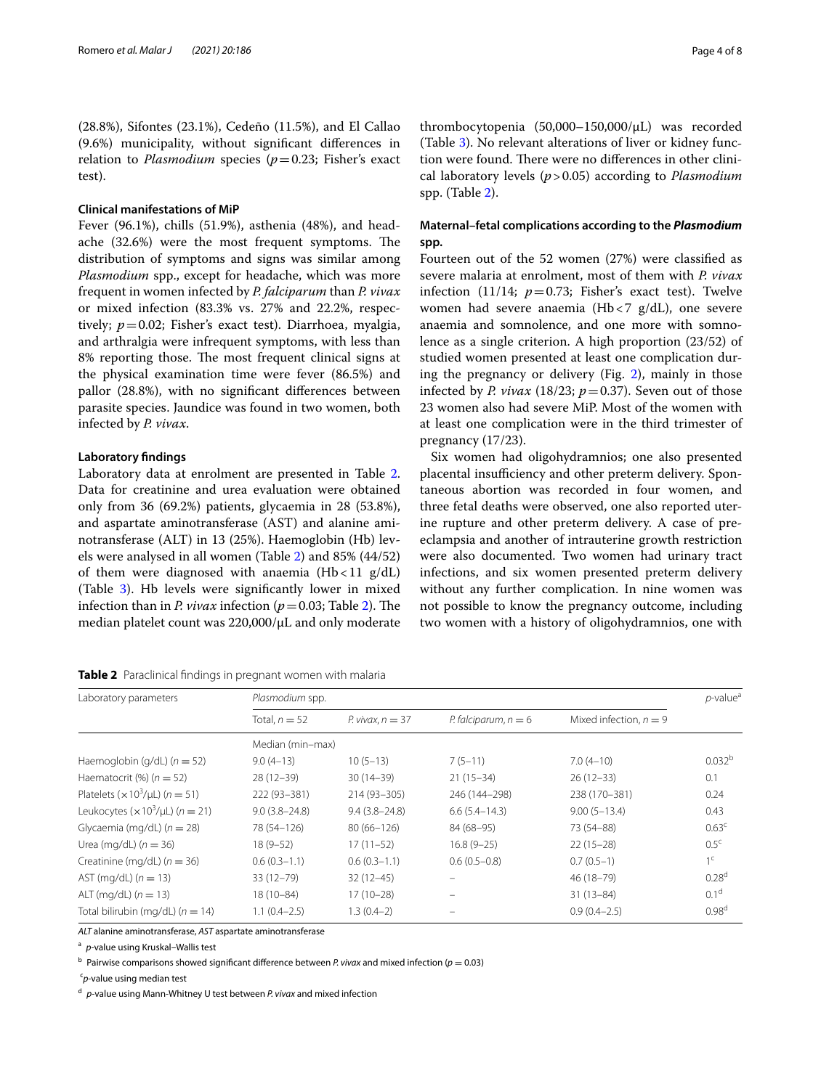(28.8%), Sifontes (23.1%), Cedeño (11.5%), and El Callao (9.6%) municipality, without signifcant diferences in relation to *Plasmodium* species ( $p=0.23$ ; Fisher's exact test).

# **Clinical manifestations of MiP**

Fever (96.1%), chills (51.9%), asthenia (48%), and headache (32.6%) were the most frequent symptoms. The distribution of symptoms and signs was similar among *Plasmodium* spp., except for headache, which was more frequent in women infected by *P. falciparum* than *P. vivax* or mixed infection (83.3% vs. 27% and 22.2%, respectively; *p*=0.02; Fisher's exact test). Diarrhoea, myalgia, and arthralgia were infrequent symptoms, with less than 8% reporting those. The most frequent clinical signs at the physical examination time were fever (86.5%) and pallor (28.8%), with no signifcant diferences between parasite species. Jaundice was found in two women, both infected by *P. vivax*.

# **Laboratory fndings**

Laboratory data at enrolment are presented in Table [2](#page-3-0). Data for creatinine and urea evaluation were obtained only from 36 (69.2%) patients, glycaemia in 28 (53.8%), and aspartate aminotransferase (AST) and alanine aminotransferase (ALT) in 13 (25%). Haemoglobin (Hb) levels were analysed in all women (Table [2](#page-3-0)) and 85% (44/52) of them were diagnosed with anaemia  $(Hb<11 g/dL)$ (Table [3\)](#page-4-0). Hb levels were signifcantly lower in mixed infection than in *P. vivax* infection ( $p=0.03$ ; Table [2\)](#page-3-0). The median platelet count was 220,000/µL and only moderate

<span id="page-3-0"></span>**Table 2** Paraclinical fndings in pregnant women with malaria

thrombocytopenia (50,000–150,000/µL) was recorded (Table [3](#page-4-0)). No relevant alterations of liver or kidney function were found. There were no differences in other clinical laboratory levels (*p*>0.05) according to *Plasmodium* spp. (Table [2](#page-3-0)).

# **Maternal–fetal complications according to the** *Plasmodium* **spp.**

Fourteen out of the 52 women (27%) were classifed as severe malaria at enrolment, most of them with *P. vivax* infection (11/14;  $p=0.73$ ; Fisher's exact test). Twelve women had severe anaemia (Hb < 7  $g/dL$ ), one severe anaemia and somnolence, and one more with somnolence as a single criterion. A high proportion (23/52) of studied women presented at least one complication during the pregnancy or delivery (Fig. [2\)](#page-4-1), mainly in those infected by *P. vivax* (18/23;  $p=0.37$ ). Seven out of those 23 women also had severe MiP. Most of the women with at least one complication were in the third trimester of pregnancy (17/23).

Six women had oligohydramnios; one also presented placental insufficiency and other preterm delivery. Spontaneous abortion was recorded in four women, and three fetal deaths were observed, one also reported uterine rupture and other preterm delivery. A case of preeclampsia and another of intrauterine growth restriction were also documented. Two women had urinary tract infections, and six women presented preterm delivery without any further complication. In nine women was not possible to know the pregnancy outcome, including two women with a history of oligohydramnios, one with

| Laboratory parameters                                   | Plasmodium spp.   |                    |                        |                          |                    |
|---------------------------------------------------------|-------------------|--------------------|------------------------|--------------------------|--------------------|
|                                                         | Total, $n = 52$   | P. vivax, $n = 37$ | P. falciparum, $n = 6$ | Mixed infection, $n = 9$ |                    |
|                                                         | Median (min-max)  |                    |                        |                          |                    |
| Haemoglobin (g/dL) $(n = 52)$                           | $9.0(4-13)$       | $10(5-13)$         | $7(5-11)$              | $7.0(4-10)$              | 0.032 <sup>b</sup> |
| Haematocrit $(\%)$ ( $n = 52$ )                         | $28(12-39)$       | $30(14-39)$        | $21(15-34)$            | $26(12-33)$              | 0.1                |
| Platelets $(x10^3/\mu L)$ ( $n = 51$ )                  | 222 (93-381)      | 214 (93-305)       | 246 (144-298)          | 238 (170-381)            | 0.24               |
| Leukocytes ( $\times$ 10 <sup>3</sup> /µL) ( $n = 21$ ) | $9.0(3.8 - 24.8)$ | $9.4(3.8 - 24.8)$  | $6.6(5.4-14.3)$        | $9.00(5-13.4)$           | 0.43               |
| Glycaemia (mg/dL) $(n = 28)$                            | 78 (54-126)       | $80(66 - 126)$     | 84 (68-95)             | 73 (54-88)               | 0.63 <sup>c</sup>  |
| Urea (mg/dL) $(n = 36)$                                 | $18(9-52)$        | $17(11-52)$        | $16.8(9-25)$           | $22(15-28)$              | 0.5 <sup>c</sup>   |
| Creatinine (mg/dL) $(n = 36)$                           | $0.6(0.3-1.1)$    | $0.6(0.3-1.1)$     | $0.6(0.5-0.8)$         | $0.7(0.5-1)$             | 1 <sup>c</sup>     |
| AST (mg/dL) $(n = 13)$                                  | $33(12 - 79)$     | $32(12-45)$        |                        | 46 (18-79)               | 0.28 <sup>d</sup>  |
| ALT (mg/dL) $(n = 13)$                                  | $18(10 - 84)$     | $17(10-28)$        | $\equiv$               | $31(13-84)$              | 0.1 <sup>d</sup>   |
| Total bilirubin (mg/dL) ( $n = 14$ )                    | $1.1(0.4-2.5)$    | $1.3(0.4-2)$       |                        | $0.9(0.4 - 2.5)$         | 0.98 <sup>d</sup>  |

*ALT* alanine aminotransferase, *AST* aspartate aminotransferase

<sup>a</sup> *p*-value using Kruskal–Wallis test

 $<sup>b</sup>$  Pairwise comparisons showed significant difference between *P. vivax* and mixed infection ( $p = 0.03$ )</sup>

c *p*-value using median test

<sup>d</sup> *p*-value using Mann-Whitney U test between *P. vivax* and mixed infection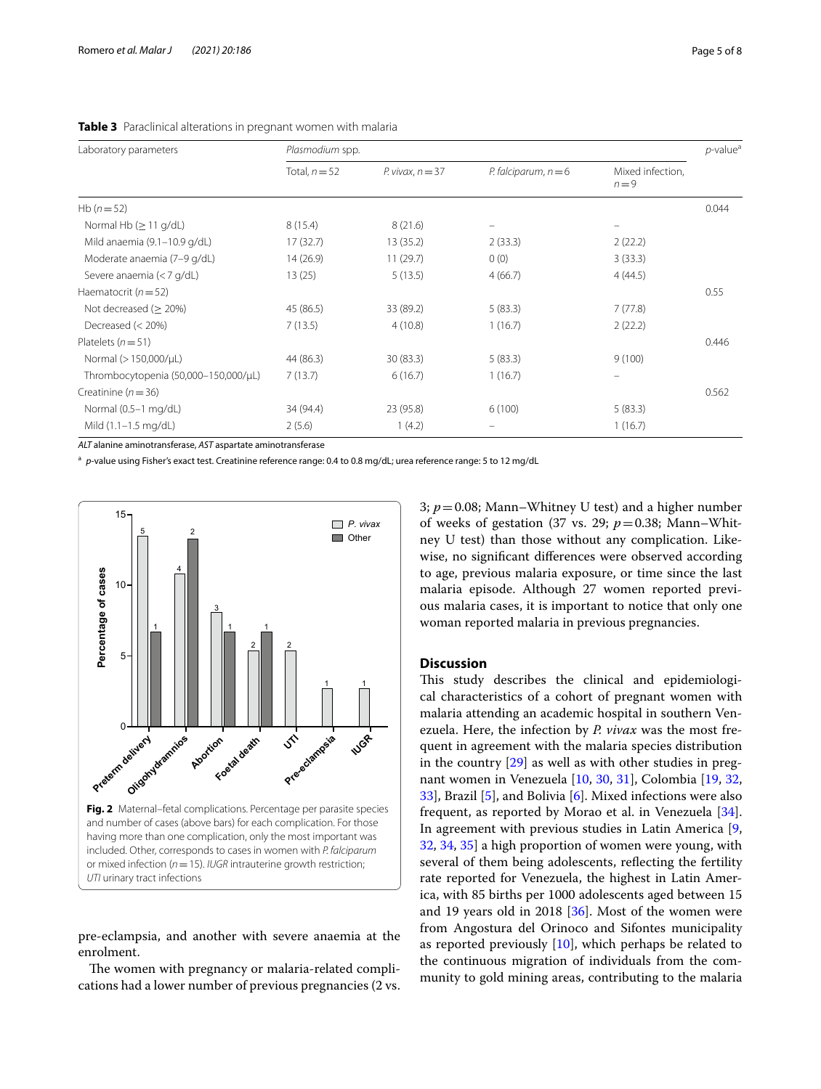| Laboratory parameters                | Plasmodium spp. |                    |                        |                             |       |
|--------------------------------------|-----------------|--------------------|------------------------|-----------------------------|-------|
|                                      | Total, $n = 52$ | P. vivax. $n = 37$ | P. falciparum, $n = 6$ | Mixed infection,<br>$n = 9$ |       |
| Hb $(n=52)$                          |                 |                    |                        |                             | 0.044 |
| Normal Hb $( \geq 11 \text{ g/dL} )$ | 8(15.4)         | 8(21.6)            |                        |                             |       |
| Mild anaemia (9.1-10.9 g/dL)         | 17(32.7)        | 13(35.2)           | 2(33.3)                | 2(22.2)                     |       |
| Moderate anaemia (7-9 g/dL)          | 14(26.9)        | 11(29.7)           | 0(0)                   | 3(33.3)                     |       |
| Severe anaemia (< 7 g/dL)            | 13(25)          | 5(13.5)            | 4(66.7)                | 4(44.5)                     |       |
| Haematocrit ( $n = 52$ )             |                 |                    |                        |                             | 0.55  |
| Not decreased (> 20%)                | 45 (86.5)       | 33 (89.2)          | 5(83.3)                | 7(77.8)                     |       |
| Decreased (< 20%)                    | 7(13.5)         | 4(10.8)            | 1(16.7)                | 2(22.2)                     |       |
| Platelets $(n=51)$                   |                 |                    |                        |                             | 0.446 |
| Normal (> 150,000/µL)                | 44 (86.3)       | 30 (83.3)          | 5(83.3)                | 9(100)                      |       |

Creatinine (*n*=36) 0.562

Normal (0.5–1 mg/dL) 34 (94.4) 23 (95.8) 6 (100) 5 (83.3) Mild (1.1–1.5 mg/dL) 2 (5.6) 1 (4.2) – 1 (16.7)

<span id="page-4-0"></span>**Table 3** Paraclinical alterations in pregnant women with malaria

*ALT* alanine aminotransferase, *AST* aspartate aminotransferase

<sup>a</sup> *p*-value using Fisher's exact test. Creatinine reference range: 0.4 to 0.8 mg/dL; urea reference range: 5 to 12 mg/dL

Thrombocytopenia (50,000–150,000/µL) 7 (13.7) 6 (16.7) 1 (16.7)



<span id="page-4-1"></span>pre-eclampsia, and another with severe anaemia at the enrolment.

The women with pregnancy or malaria-related complications had a lower number of previous pregnancies (2 vs. 3; *p*=0.08; Mann–Whitney U test) and a higher number of weeks of gestation (37 vs. 29;  $p=0.38$ ; Mann–Whitney U test) than those without any complication. Likewise, no signifcant diferences were observed according to age, previous malaria exposure, or time since the last malaria episode. Although 27 women reported previous malaria cases, it is important to notice that only one woman reported malaria in previous pregnancies.

# **Discussion**

This study describes the clinical and epidemiological characteristics of a cohort of pregnant women with malaria attending an academic hospital in southern Venezuela. Here, the infection by *P. vivax* was the most frequent in agreement with the malaria species distribution in the country [[29\]](#page-6-25) as well as with other studies in pregnant women in Venezuela [[10](#page-6-8), [30](#page-6-26), [31](#page-6-27)], Colombia [[19](#page-6-28), [32](#page-6-29), [33\]](#page-6-30), Brazil [[5\]](#page-6-4), and Bolivia [\[6](#page-6-5)]. Mixed infections were also frequent, as reported by Morao et al. in Venezuela [\[34](#page-6-31)]. In agreement with previous studies in Latin America [\[9](#page-6-7), [32,](#page-6-29) [34](#page-6-31), [35\]](#page-6-32) a high proportion of women were young, with several of them being adolescents, refecting the fertility rate reported for Venezuela, the highest in Latin America, with 85 births per 1000 adolescents aged between 15 and 19 years old in 2018 [[36](#page-7-0)]. Most of the women were from Angostura del Orinoco and Sifontes municipality as reported previously [[10\]](#page-6-8), which perhaps be related to the continuous migration of individuals from the community to gold mining areas, contributing to the malaria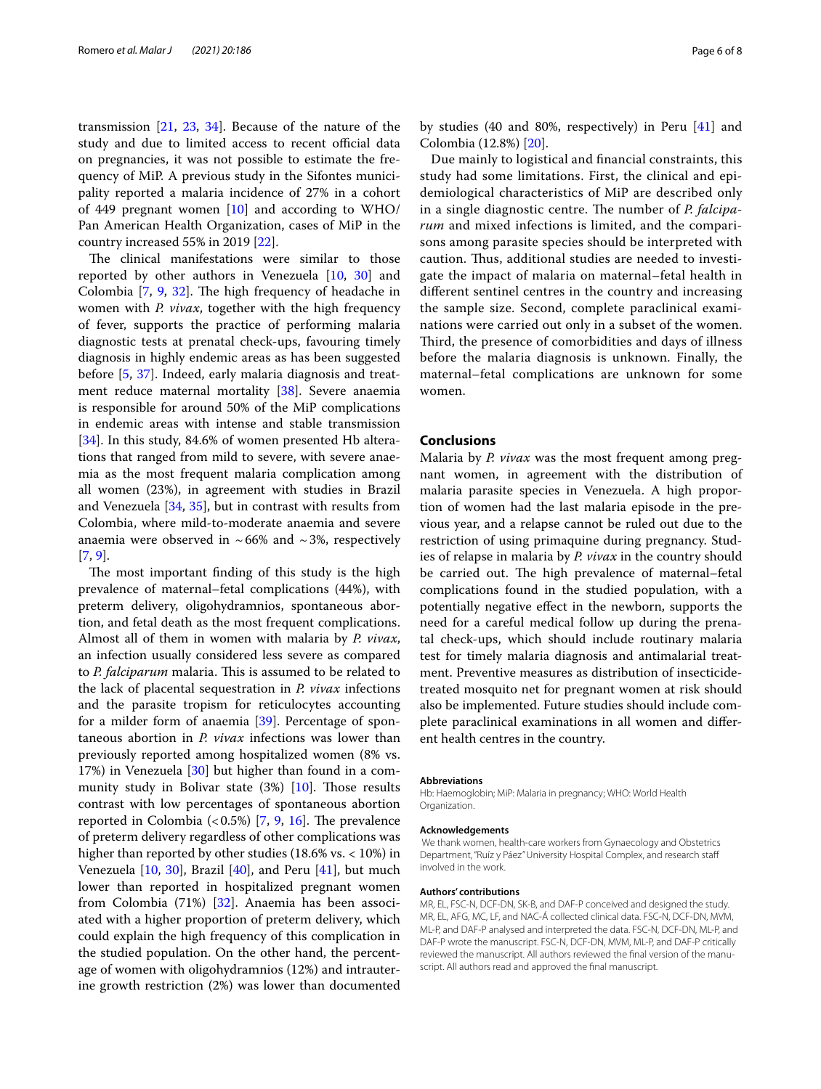transmission [\[21](#page-6-17), [23](#page-6-19), [34\]](#page-6-31). Because of the nature of the study and due to limited access to recent official data on pregnancies, it was not possible to estimate the frequency of MiP. A previous study in the Sifontes municipality reported a malaria incidence of 27% in a cohort of 449 pregnant women  $[10]$  $[10]$  and according to WHO/ Pan American Health Organization, cases of MiP in the country increased 55% in 2019 [[22\]](#page-6-18).

The clinical manifestations were similar to those reported by other authors in Venezuela [[10](#page-6-8), [30\]](#page-6-26) and Colombia  $[7, 9, 32]$  $[7, 9, 32]$  $[7, 9, 32]$  $[7, 9, 32]$  $[7, 9, 32]$  $[7, 9, 32]$ . The high frequency of headache in women with *P. vivax*, together with the high frequency of fever, supports the practice of performing malaria diagnostic tests at prenatal check-ups, favouring timely diagnosis in highly endemic areas as has been suggested before [[5,](#page-6-4) [37](#page-7-1)]. Indeed, early malaria diagnosis and treat-ment reduce maternal mortality [[38\]](#page-7-2). Severe anaemia is responsible for around 50% of the MiP complications in endemic areas with intense and stable transmission [[34\]](#page-6-31). In this study, 84.6% of women presented Hb alterations that ranged from mild to severe, with severe anaemia as the most frequent malaria complication among all women (23%), in agreement with studies in Brazil and Venezuela [\[34](#page-6-31), [35](#page-6-32)], but in contrast with results from Colombia, where mild-to-moderate anaemia and severe anaemia were observed in  $~66\%$  and  $~3\%$ , respectively [[7,](#page-6-6) [9](#page-6-7)].

The most important finding of this study is the high prevalence of maternal–fetal complications (44%), with preterm delivery, oligohydramnios, spontaneous abortion, and fetal death as the most frequent complications. Almost all of them in women with malaria by *P. vivax*, an infection usually considered less severe as compared to *P. falciparum* malaria. This is assumed to be related to the lack of placental sequestration in *P. vivax* infections and the parasite tropism for reticulocytes accounting for a milder form of anaemia [[39\]](#page-7-3). Percentage of spontaneous abortion in *P. vivax* infections was lower than previously reported among hospitalized women (8% vs. 17%) in Venezuela [[30\]](#page-6-26) but higher than found in a community study in Bolivar state  $(3%)$  [\[10](#page-6-8)]. Those results contrast with low percentages of spontaneous abortion reported in Colombia  $(0.5\%)$  [[7,](#page-6-6) [9,](#page-6-7) [16](#page-6-14)]. The prevalence of preterm delivery regardless of other complications was higher than reported by other studies (18.6% vs. < 10%) in Venezuela  $[10, 30]$  $[10, 30]$  $[10, 30]$  $[10, 30]$  $[10, 30]$ , Brazil  $[40]$ , and Peru  $[41]$  $[41]$ , but much lower than reported in hospitalized pregnant women from Colombia (71%) [[32](#page-6-29)]. Anaemia has been associated with a higher proportion of preterm delivery, which could explain the high frequency of this complication in the studied population. On the other hand, the percentage of women with oligohydramnios (12%) and intrauterine growth restriction (2%) was lower than documented

by studies (40 and 80%, respectively) in Peru [\[41\]](#page-7-5) and Colombia (12.8%) [[20\]](#page-6-16).

Due mainly to logistical and fnancial constraints, this study had some limitations. First, the clinical and epidemiological characteristics of MiP are described only in a single diagnostic centre. The number of *P. falciparum* and mixed infections is limited, and the comparisons among parasite species should be interpreted with caution. Thus, additional studies are needed to investigate the impact of malaria on maternal–fetal health in diferent sentinel centres in the country and increasing the sample size. Second, complete paraclinical examinations were carried out only in a subset of the women. Third, the presence of comorbidities and days of illness before the malaria diagnosis is unknown. Finally, the maternal–fetal complications are unknown for some women.

# **Conclusions**

Malaria by *P. vivax* was the most frequent among pregnant women, in agreement with the distribution of malaria parasite species in Venezuela. A high proportion of women had the last malaria episode in the previous year, and a relapse cannot be ruled out due to the restriction of using primaquine during pregnancy. Studies of relapse in malaria by *P. vivax* in the country should be carried out. The high prevalence of maternal–fetal complications found in the studied population, with a potentially negative efect in the newborn, supports the need for a careful medical follow up during the prenatal check-ups, which should include routinary malaria test for timely malaria diagnosis and antimalarial treatment. Preventive measures as distribution of insecticidetreated mosquito net for pregnant women at risk should also be implemented. Future studies should include complete paraclinical examinations in all women and diferent health centres in the country.

#### **Abbreviations**

Hb: Haemoglobin; MiP: Malaria in pregnancy; WHO: World Health Organization.

#### **Acknowledgements**

 We thank women, health-care workers from Gynaecology and Obstetrics Department, "Ruíz y Páez" University Hospital Complex, and research staf involved in the work.

#### **Authors' contributions**

MR, EL, FSC-N, DCF-DN, SK-B, and DAF-P conceived and designed the study. MR, EL, AFG, MC, LF, and NAC-Á collected clinical data. FSC-N, DCF-DN, MVM, ML-P, and DAF-P analysed and interpreted the data. FSC-N, DCF-DN, ML-P, and DAF-P wrote the manuscript. FSC-N, DCF-DN, MVM, ML-P, and DAF-P critically reviewed the manuscript. All authors reviewed the final version of the manuscript. All authors read and approved the fnal manuscript.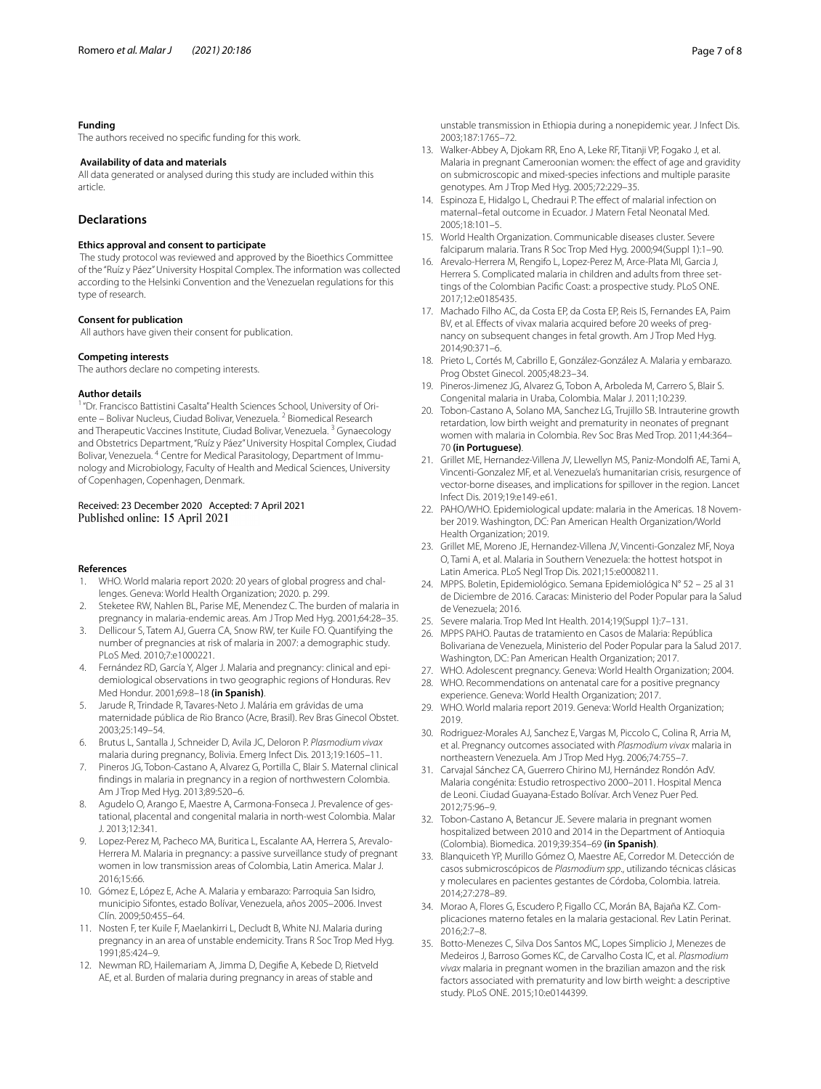## **Funding**

The authors received no specifc funding for this work.

# **Availability of data and materials**

All data generated or analysed during this study are included within this article.

# **Declarations**

#### **Ethics approval and consent to participate**

 The study protocol was reviewed and approved by the Bioethics Committee of the "Ruíz y Páez" University Hospital Complex. The information was collected according to the Helsinki Convention and the Venezuelan regulations for this type of research.

#### **Consent for publication**

All authors have given their consent for publication.

#### **Competing interests**

The authors declare no competing interests.

#### **Author details**

"Dr. Francisco Battistini Casalta" Health Sciences School, University of Oriente – Bolivar Nucleus, Ciudad Bolivar, Venezuela. <sup>2</sup> Biomedical Research and Therapeutic Vaccines Institute, Ciudad Bolivar, Venezuela.<sup>3</sup> Gynaecology and Obstetrics Department, "Ruíz y Páez" University Hospital Complex, Ciudad Bolivar, Venezuela. <sup>4</sup> Centre for Medical Parasitology, Department of Immunology and Microbiology, Faculty of Health and Medical Sciences, University of Copenhagen, Copenhagen, Denmark.

# Received: 23 December 2020 Accepted: 7 April 2021 Published online: 15 April 2021

#### **References**

- <span id="page-6-0"></span>1. WHO. World malaria report 2020: 20 years of global progress and challenges. Geneva: World Health Organization; 2020. p. 299.
- <span id="page-6-1"></span>2. Steketee RW, Nahlen BL, Parise ME, Menendez C. The burden of malaria in pregnancy in malaria-endemic areas. Am J Trop Med Hyg. 2001;64:28–35.
- <span id="page-6-2"></span>3. Dellicour S, Tatem AJ, Guerra CA, Snow RW, ter Kuile FO. Quantifying the number of pregnancies at risk of malaria in 2007: a demographic study. PLoS Med. 2010;7:e1000221.
- <span id="page-6-3"></span>4. Fernández RD, García Y, Alger J. Malaria and pregnancy: clinical and epidemiological observations in two geographic regions of Honduras. Rev Med Hondur. 2001;69:8–18 **(in Spanish)**.
- <span id="page-6-4"></span>5. Jarude R, Trindade R, Tavares-Neto J. Malária em grávidas de uma maternidade pública de Rio Branco (Acre, Brasil). Rev Bras Ginecol Obstet. 2003;25:149–54.
- <span id="page-6-5"></span>6. Brutus L, Santalla J, Schneider D, Avila JC, Deloron P. *Plasmodium vivax* malaria during pregnancy, Bolivia. Emerg Infect Dis. 2013;19:1605–11.
- <span id="page-6-6"></span>7. Pineros JG, Tobon-Castano A, Alvarez G, Portilla C, Blair S. Maternal clinical fndings in malaria in pregnancy in a region of northwestern Colombia. Am J Trop Med Hyg. 2013;89:520–6.
- 8. Agudelo O, Arango E, Maestre A, Carmona-Fonseca J. Prevalence of gestational, placental and congenital malaria in north-west Colombia. Malar J. 2013;12:341.
- <span id="page-6-7"></span>9. Lopez-Perez M, Pacheco MA, Buritica L, Escalante AA, Herrera S, Arevalo-Herrera M. Malaria in pregnancy: a passive surveillance study of pregnant women in low transmission areas of Colombia, Latin America. Malar J. 2016;15:66.
- <span id="page-6-8"></span>10. Gómez E, López E, Ache A. Malaria y embarazo: Parroquia San Isidro, municipio Sifontes, estado Bolívar, Venezuela, años 2005–2006. Invest Clín. 2009;50:455–64.
- <span id="page-6-9"></span>11. Nosten F, ter Kuile F, Maelankirri L, Decludt B, White NJ. Malaria during pregnancy in an area of unstable endemicity. Trans R Soc Trop Med Hyg. 1991;85:424–9.
- <span id="page-6-10"></span>12. Newman RD, Hailemariam A, Jimma D, Degife A, Kebede D, Rietveld AE, et al. Burden of malaria during pregnancy in areas of stable and

unstable transmission in Ethiopia during a nonepidemic year. J Infect Dis. 2003;187:1765–72.

- <span id="page-6-11"></span>13. Walker-Abbey A, Djokam RR, Eno A, Leke RF, Titanji VP, Fogako J, et al. Malaria in pregnant Cameroonian women: the effect of age and gravidity on submicroscopic and mixed-species infections and multiple parasite genotypes. Am J Trop Med Hyg. 2005;72:229–35.
- <span id="page-6-12"></span>14. Espinoza E, Hidalgo L, Chedraui P. The effect of malarial infection on maternal–fetal outcome in Ecuador. J Matern Fetal Neonatal Med. 2005;18:101–5.
- <span id="page-6-13"></span>15. World Health Organization. Communicable diseases cluster. Severe falciparum malaria. Trans R Soc Trop Med Hyg. 2000;94(Suppl 1):1–90.
- <span id="page-6-14"></span>16. Arevalo-Herrera M, Rengifo L, Lopez-Perez M, Arce-Plata MI, Garcia J, Herrera S. Complicated malaria in children and adults from three settings of the Colombian Pacifc Coast: a prospective study. PLoS ONE. 2017;12:e0185435.
- <span id="page-6-15"></span>17. Machado Filho AC, da Costa EP, da Costa EP, Reis IS, Fernandes EA, Paim BV, et al. Effects of vivax malaria acquired before 20 weeks of pregnancy on subsequent changes in fetal growth. Am J Trop Med Hyg. 2014;90:371–6.
- 18. Prieto L, Cortés M, Cabrillo E, González-González A. Malaria y embarazo. Prog Obstet Ginecol. 2005;48:23–34.
- <span id="page-6-28"></span>19. Pineros-Jimenez JG, Alvarez G, Tobon A, Arboleda M, Carrero S, Blair S. Congenital malaria in Uraba, Colombia. Malar J. 2011;10:239.
- <span id="page-6-16"></span>20. Tobon-Castano A, Solano MA, Sanchez LG, Trujillo SB. Intrauterine growth retardation, low birth weight and prematurity in neonates of pregnant women with malaria in Colombia. Rev Soc Bras Med Trop. 2011;44:364– 70 **(in Portuguese)**.
- <span id="page-6-17"></span>21. Grillet ME, Hernandez-Villena JV, Llewellyn MS, Paniz-Mondolf AE, Tami A, Vincenti-Gonzalez MF, et al. Venezuela's humanitarian crisis, resurgence of vector-borne diseases, and implications for spillover in the region. Lancet Infect Dis. 2019;19:e149-e61.
- <span id="page-6-18"></span>22. PAHO/WHO. Epidemiological update: malaria in the Americas. 18 November 2019. Washington, DC: Pan American Health Organization/World Health Organization; 2019.
- <span id="page-6-19"></span>23. Grillet ME, Moreno JE, Hernandez-Villena JV, Vincenti-Gonzalez MF, Noya O, Tami A, et al. Malaria in Southern Venezuela: the hottest hotspot in Latin America. PLoS Negl Trop Dis. 2021;15:e0008211.
- <span id="page-6-20"></span>24. MPPS. Boletin, Epidemiológico. Semana Epidemiológica N° 52 – 25 al 31 de Diciembre de 2016. Caracas: Ministerio del Poder Popular para la Salud de Venezuela; 2016.
- <span id="page-6-21"></span>25. Severe malaria. Trop Med Int Health. 2014;19(Suppl 1):7–131.
- <span id="page-6-22"></span>26. MPPS PAHO. Pautas de tratamiento en Casos de Malaria: República Bolivariana de Venezuela, Ministerio del Poder Popular para la Salud 2017. Washington, DC: Pan American Health Organization; 2017.
- <span id="page-6-23"></span>27. WHO. Adolescent pregnancy. Geneva: World Health Organization; 2004.
- <span id="page-6-24"></span>28. WHO. Recommendations on antenatal care for a positive pregnancy experience. Geneva: World Health Organization; 2017.
- <span id="page-6-25"></span>29. WHO. World malaria report 2019. Geneva: World Health Organization; 2019.
- <span id="page-6-26"></span>30. Rodriguez-Morales AJ, Sanchez E, Vargas M, Piccolo C, Colina R, Arria M, et al. Pregnancy outcomes associated with *Plasmodium vivax* malaria in northeastern Venezuela. Am J Trop Med Hyg. 2006;74:755–7.
- <span id="page-6-27"></span>31. Carvajal Sánchez CA, Guerrero Chirino MJ, Hernández Rondón AdV. Malaria congénita: Estudio retrospectivo 2000–2011. Hospital Menca de Leoni. Ciudad Guayana-Estado Bolívar. Arch Venez Puer Ped. 2012;75:96–9.
- <span id="page-6-29"></span>32. Tobon-Castano A, Betancur JE. Severe malaria in pregnant women hospitalized between 2010 and 2014 in the Department of Antioquia (Colombia). Biomedica. 2019;39:354–69 **(in Spanish)**.
- <span id="page-6-30"></span>33. Blanquiceth YP, Murillo Gómez O, Maestre AE, Corredor M. Detección de casos submicroscópicos de *Plasmodium spp*., utilizando técnicas clásicas y moleculares en pacientes gestantes de Córdoba, Colombia. Iatreia. 2014;27:278–89.
- <span id="page-6-31"></span>34. Morao A, Flores G, Escudero P, Figallo CC, Morán BA, Bajaña KZ. Complicaciones materno fetales en la malaria gestacional. Rev Latin Perinat. 2016;2:7–8.
- <span id="page-6-32"></span>35. Botto-Menezes C, Silva Dos Santos MC, Lopes Simplicio J, Menezes de Medeiros J, Barroso Gomes KC, de Carvalho Costa IC, et al. *Plasmodium vivax* malaria in pregnant women in the brazilian amazon and the risk factors associated with prematurity and low birth weight: a descriptive study. PLoS ONE. 2015;10:e0144399.